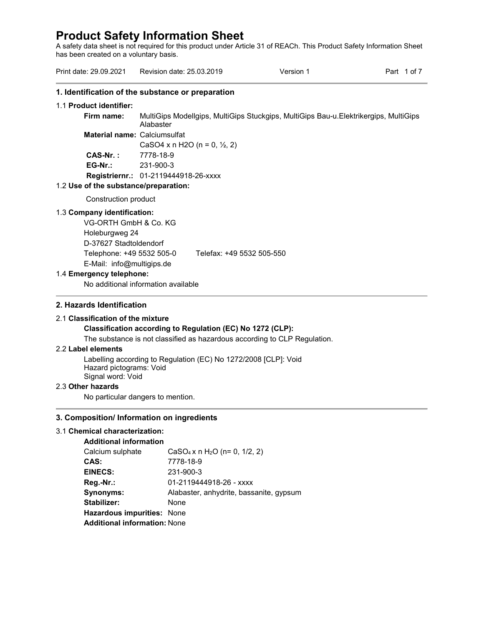A safety data sheet is not required for this product under Article 31 of REACh. This Product Safety Information Sheet has been created on a voluntary basis.

| Print date: 29.09.2021                                                                           | Revision date: 25.03.2019                         | Version 1                                                                            | Part 1 of 7 |
|--------------------------------------------------------------------------------------------------|---------------------------------------------------|--------------------------------------------------------------------------------------|-------------|
|                                                                                                  | 1. Identification of the substance or preparation |                                                                                      |             |
| 1.1 Product identifier:                                                                          |                                                   |                                                                                      |             |
| Firm name:                                                                                       | Alabaster                                         | MultiGips Modellgips, MultiGips Stuckgips, MultiGips Bau-u.Elektrikergips, MultiGips |             |
| <b>Material name: Calciumsulfat</b>                                                              |                                                   |                                                                                      |             |
|                                                                                                  | CaSO4 x n H2O (n = 0, $\frac{1}{2}$ , 2)          |                                                                                      |             |
| $CAS-Nr.$ :                                                                                      | 7778-18-9                                         |                                                                                      |             |
| $EG-Nr$ .:                                                                                       | 231-900-3                                         |                                                                                      |             |
|                                                                                                  | Registriernr.: 01-2119444918-26-xxxx              |                                                                                      |             |
| 1.2 Use of the substance/preparation:                                                            |                                                   |                                                                                      |             |
| Construction product                                                                             |                                                   |                                                                                      |             |
| 1.3 Company identification:<br>VG-ORTH GmbH & Co. KG<br>Holeburgweg 24<br>D-37627 Stadtoldendorf |                                                   |                                                                                      |             |
| Telephone: +49 5532 505-0<br>E-Mail: info@multigips.de                                           |                                                   | Telefax: +49 5532 505-550                                                            |             |
| 1.4 Emergency telephone:                                                                         |                                                   |                                                                                      |             |
|                                                                                                  | No additional information available               |                                                                                      |             |

# **2. Hazards Identification**

#### 2.1 **Classification of the mixture**

# **Classification according to Regulation (EC) No 1272 (CLP):**

The substance is not classified as hazardous according to CLP Regulation.

# 2.2 **Label elements**

Labelling according to Regulation (EC) No 1272/2008 [CLP]: Void Hazard pictograms: Void Signal word: Void

# 2.3 **Other hazards**

No particular dangers to mention.

# **3. Composition/ Information on ingredients**

# 3.1 **Chemical characterization:**

| <b>Additional information</b>       |                                                       |
|-------------------------------------|-------------------------------------------------------|
| Calcium sulphate                    | CaSO <sub>4</sub> x n H <sub>2</sub> O (n= 0, 1/2, 2) |
| CAS:                                | 7778-18-9                                             |
| <b>EINECS:</b>                      | 231-900-3                                             |
| Reg.-Nr.:                           | 01-2119444918-26 - xxxx                               |
| Synonyms:                           | Alabaster, anhydrite, bassanite, gypsum               |
| Stabilizer:                         | None                                                  |
| Hazardous impurities: None          |                                                       |
| <b>Additional information: None</b> |                                                       |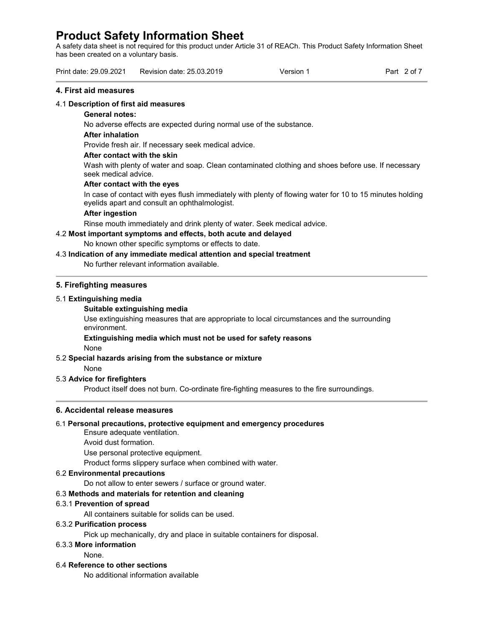A safety data sheet is not required for this product under Article 31 of REACh. This Product Safety Information Sheet has been created on a voluntary basis.

| Print date: 29.09.2021    | Version | Part |
|---------------------------|---------|------|
| Revision date: 25.03.2019 |         | -O1  |

## **4. First aid measures**

# 4.1 **Description of first aid measures**

## **General notes:**

No adverse effects are expected during normal use of the substance.

## **After inhalation**

Provide fresh air. If necessary seek medical advice.

## **After contact with the skin**

Wash with plenty of water and soap. Clean contaminated clothing and shoes before use. If necessary seek medical advice.

## **After contact with the eyes**

In case of contact with eyes flush immediately with plenty of flowing water for 10 to 15 minutes holding eyelids apart and consult an ophthalmologist.

# **After ingestion**

Rinse mouth immediately and drink plenty of water. Seek medical advice.

# 4.2 **Most important symptoms and effects, both acute and delayed**

No known other specific symptoms or effects to date.

# 4.3 **Indication of any immediate medical attention and special treatment**

No further relevant information available.

## **5. Firefighting measures**

## 5.1 **Extinguishing media**

## **Suitable extinguishing media**

Use extinguishing measures that are appropriate to local circumstances and the surrounding environment.

# **Extinguishing media which must not be used for safety reasons**

None

# 5.2 **Special hazards arising from the substance or mixture**

None

# 5.3 **Advice for firefighters**

Product itself does not burn. Co-ordinate fire-fighting measures to the fire surroundings.

# **6. Accidental release measures**

# 6.1 **Personal precautions, protective equipment and emergency procedures**

Ensure adequate ventilation.

Avoid dust formation.

Use personal protective equipment.

Product forms slippery surface when combined with water.

# 6.2 **Environmental precautions**

Do not allow to enter sewers / surface or ground water.

# 6.3 **Methods and materials for retention and cleaning**

# 6.3.1 **Prevention of spread**

All containers suitable for solids can be used.

# 6.3.2 **Purification process**

Pick up mechanically, dry and place in suitable containers for disposal.

# 6.3.3 **More information**

None.

#### 6.4 **Reference to other sections**

No additional information available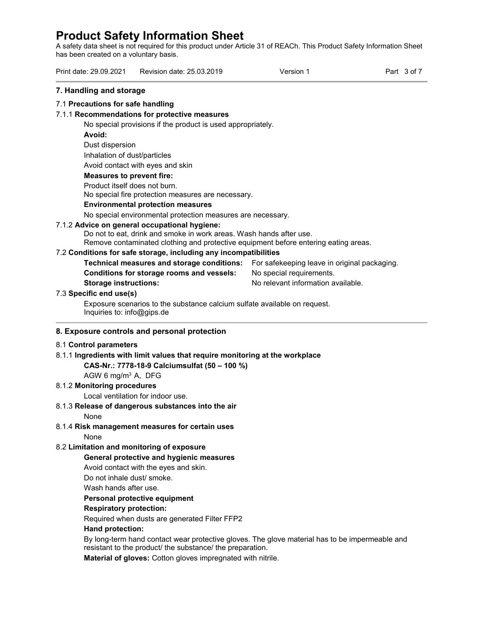A safety data sheet is not required for this product under Article 31 of REACh. This Product Safety Information Sheet has been created on a voluntary basis.

Print date: 29.09.2021 Revision date: 25.03.2019 Version 1 Part 3 of 7 **7. Handling and storage**  7.1 **Precautions for safe handling** 7.1.1 **Recommendations for protective measures** No special provisions if the product is used appropriately. **Avoid:**  Dust dispersion Inhalation of dust/particles Avoid contact with eyes and skin **Measures to prevent fire:**  Product itself does not burn. No special fire protection measures are necessary. **Environmental protection measures** No special environmental protection measures are necessary. 7.1.2 **Advice on general occupational hygiene:** Do not to eat, drink and smoke in work areas. Wash hands after use. Remove contaminated clothing and protective equipment before entering eating areas. 7.2 **Conditions for safe storage, including any incompatibilities Technical measures and storage conditions:** For safekeeping leave in original packaging. **Conditions for storage rooms and vessels:** No special requirements. **Storage instructions:** No relevant information available. 7.3 **Specific end use(s)** Exposure scenarios to the substance calcium sulfate available on request. Inquiries to: info@gips.de **8. Exposure controls and personal protection** 8.1 **Control parameters** 8.1.1 **Ingredients with limit values that require monitoring at the workplace CAS-Nr.: 7778-18-9 Calciumsulfat (50 – 100 %)** AGW 6 mg/m<sup>3</sup> A, DFG

# 8.1.2 **Monitoring procedures**

Local ventilation for indoor use.

# 8.1.3 **Release of dangerous substances into the air**

None

8.1.4 **Risk management measures for certain uses**

None

# 8.2 **Limitation and monitoring of exposure**

# **General protective and hygienic measures**

Avoid contact with the eyes and skin.

Do not inhale dust/ smoke.

Wash hands after use.

# **Personal protective equipment**

# **Respiratory protection:**

Required when dusts are generated Filter FFP2

# **Hand protection:**

By long-term hand contact wear protective gloves. The glove material has to be impermeable and resistant to the product/ the substance/ the preparation.

**Material of gloves:** Cotton gloves impregnated with nitrile.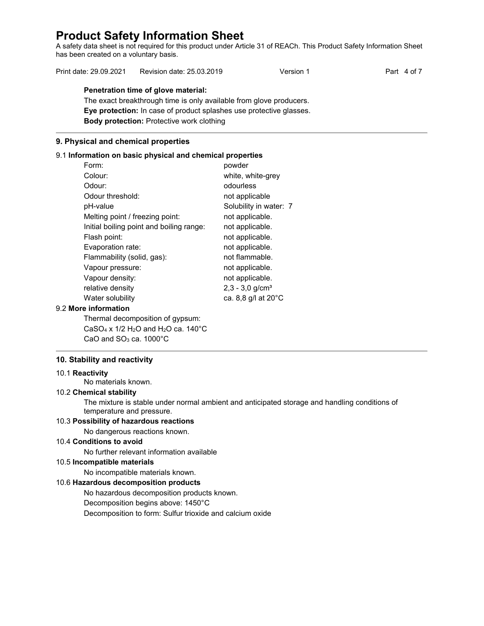A safety data sheet is not required for this product under Article 31 of REACh. This Product Safety Information Sheet has been created on a voluntary basis.

| Print date: 29.09.2021 | Revision date: 25.03.2019 | Version 1 | Part 4 of 7 |
|------------------------|---------------------------|-----------|-------------|
|------------------------|---------------------------|-----------|-------------|

# **Penetration time of glove material:**

The exact breakthrough time is only available from glove producers. **Eye protection:** In case of product splashes use protective glasses. **Body protection:** Protective work clothing

# **9. Physical and chemical properties**

# 9.1 **Information on basic physical and chemical properties**

| Form:                                    | powder                        |
|------------------------------------------|-------------------------------|
| Colour:                                  | white, white-grey             |
| Odour:                                   | odourless                     |
| Odour threshold:                         | not applicable                |
| pH-value                                 | Solubility in water: 7        |
| Melting point / freezing point:          | not applicable.               |
| Initial boiling point and boiling range: | not applicable.               |
| Flash point:                             | not applicable.               |
| Evaporation rate:                        | not applicable.               |
| Flammability (solid, gas):               | not flammable.                |
| Vapour pressure:                         | not applicable.               |
| Vapour density:                          | not applicable.               |
| relative density                         | $2,3 - 3,0$ g/cm <sup>3</sup> |
| Water solubility                         | ca. 8,8 g/l at 20°C           |
|                                          |                               |

# 9.2 **More information**

Thermal decomposition of gypsum: CaSO<sub>4</sub> x 1/2 H<sub>2</sub>O and H<sub>2</sub>O ca. 140 $^{\circ}$ C CaO and  $SO<sub>3</sub>$  ca. 1000 $^{\circ}$ C

# **10. Stability and reactivity**

#### 10.1 **Reactivity**

No materials known.

## 10.2 **Chemical stability**

The mixture is stable under normal ambient and anticipated storage and handling conditions of temperature and pressure.

# 10.3 **Possibility of hazardous reactions**

No dangerous reactions known.

# 10.4 **Conditions to avoid**

No further relevant information available

## 10.5 **Incompatible materials**

No incompatible materials known.

# 10.6 **Hazardous decomposition products**

No hazardous decomposition products known. Decomposition begins above: 1450°C Decomposition to form: Sulfur trioxide and calcium oxide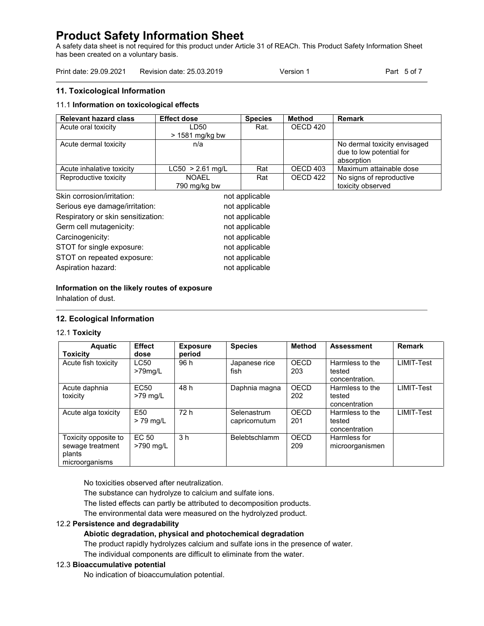A safety data sheet is not required for this product under Article 31 of REACh. This Product Safety Information Sheet has been created on a voluntary basis.

| Print date: 29.09.2021 | Revision date: 25.03.2019 | Version 1 | Part 5 of 7 |
|------------------------|---------------------------|-----------|-------------|
|------------------------|---------------------------|-----------|-------------|

# **11. Toxicological Information**

# 11.1 **Information on toxicological effects**

| <b>Relevant hazard class</b>       | <b>Effect dose</b> | <b>Species</b> | <b>Method</b> | <b>Remark</b>                |
|------------------------------------|--------------------|----------------|---------------|------------------------------|
| Acute oral toxicity                | LD50               | Rat.           | OECD 420      |                              |
|                                    | > 1581 mg/kg bw    |                |               |                              |
| Acute dermal toxicity              | n/a                |                |               | No dermal toxicity envisaged |
|                                    |                    |                |               | due to low potential for     |
|                                    |                    |                |               | absorption                   |
| Acute inhalative toxicity          | $LC50 > 2.61$ mg/L | Rat            | OECD 403      | Maximum attainable dose      |
| Reproductive toxicity              | <b>NOAEL</b>       | Rat            | OECD 422      | No signs of reproductive     |
|                                    | 790 mg/kg bw       |                |               | toxicity observed            |
| Skin corrosion/irritation:         |                    | not applicable |               |                              |
| Serious eye damage/irritation:     |                    | not applicable |               |                              |
| Respiratory or skin sensitization: |                    | not applicable |               |                              |
| Germ cell mutagenicity:            |                    | not applicable |               |                              |
| Carcinogenicity:                   |                    | not applicable |               |                              |
| STOT for single exposure:          |                    | not applicable |               |                              |
| STOT on repeated exposure:         |                    | not applicable |               |                              |
| Aspiration hazard:                 |                    | not applicable |               |                              |

## **Information on the likely routes of exposure**

Inhalation of dust.

# **12. Ecological Information**

#### 12.1 **Toxicity**

| <b>Aquatic</b><br><b>Toxicity</b>                                    | <b>Effect</b><br>dose          | <b>Exposure</b><br>period | <b>Species</b>               | Method      | <b>Assessment</b>                           | <b>Remark</b> |
|----------------------------------------------------------------------|--------------------------------|---------------------------|------------------------------|-------------|---------------------------------------------|---------------|
| Acute fish toxicity                                                  | <b>LC50</b><br>$>79$ mg/L      | 96 h                      | Japanese rice<br>fish        | OECD<br>203 | Harmless to the<br>tested<br>concentration. | LIMIT-Test    |
| Acute daphnia<br>toxicity                                            | EC <sub>50</sub><br>$>79$ mg/L | 48 h                      | Daphnia magna                | OECD<br>202 | Harmless to the<br>tested<br>concentration  | LIMIT-Test    |
| Acute alga toxicity                                                  | E <sub>50</sub><br>$> 79$ mg/L | 72 h                      | Selenastrum<br>capricornutum | OECD<br>201 | Harmless to the<br>tested<br>concentration  | LIMIT-Test    |
| Toxicity opposite to<br>sewage treatment<br>plants<br>microorganisms | EC 50<br>>790 mg/L             | 3 <sub>h</sub>            | <b>Belebtschlamm</b>         | OECD<br>209 | Harmless for<br>microorganismen             |               |

No toxicities observed after neutralization.

The substance can hydrolyze to calcium and sulfate ions.

The listed effects can partly be attributed to decomposition products.

The environmental data were measured on the hydrolyzed product.

# 12.2 **Persistence and degradability**

# **Abiotic degradation, physical and photochemical degradation**

The product rapidly hydrolyzes calcium and sulfate ions in the presence of water.

The individual components are difficult to eliminate from the water.

## 12.3 **Bioaccumulative potential**

No indication of bioaccumulation potential.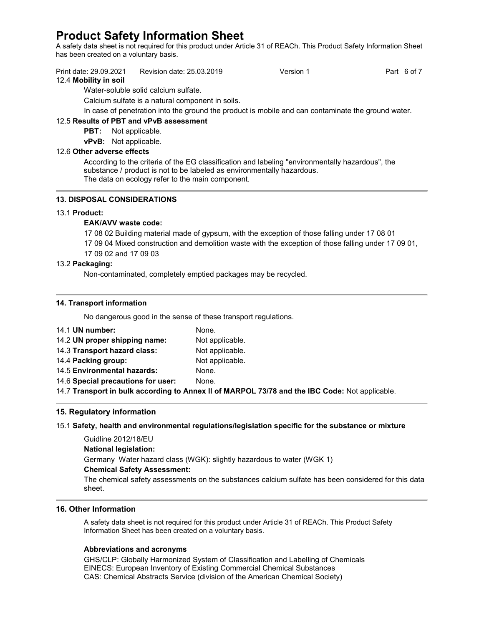A safety data sheet is not required for this product under Article 31 of REACh. This Product Safety Information Sheet has been created on a voluntary basis.

| Print date: 29.09.2021<br>Revision date: 25.03.2019<br>Version 1 | Part 6 of 7 |
|------------------------------------------------------------------|-------------|
|------------------------------------------------------------------|-------------|

## 12.4 **Mobility in soil**

Water-soluble solid calcium sulfate.

Calcium sulfate is a natural component in soils.

In case of penetration into the ground the product is mobile and can contaminate the ground water.

# 12.5 **Results of PBT and vPvB assessment**

**PBT:** Not applicable.

**vPvB:** Not applicable.

# 12.6 **Other adverse effects**

According to the criteria of the EG classification and labeling "environmentally hazardous", the substance / product is not to be labeled as environmentally hazardous. The data on ecology refer to the main component.

## **13. DISPOSAL CONSIDERATIONS**

## 13.1 **Product:**

## **EAK/AVV waste code:**

17 08 02 Building material made of gypsum, with the exception of those falling under 17 08 01

- 17 09 04 Mixed construction and demolition waste with the exception of those falling under 17 09 01,
- 17 09 02 and 17 09 03

## 13.2 **Packaging:**

Non-contaminated, completely emptied packages may be recycled.

## **14. Transport information**

No dangerous good in the sense of these transport regulations.

| 14.1 UN number:                    | None.           |
|------------------------------------|-----------------|
| 14.2 UN proper shipping name:      | Not applicable. |
| 14.3 Transport hazard class:       | Not applicable. |
| 14.4 Packing group:                | Not applicable. |
| 14.5 Environmental hazards:        | None.           |
| 14.6 Special precautions for user: | None.           |

14.7 **Transport in bulk according to Annex II of MARPOL 73/78 and the IBC Code:** Not applicable.

# **15. Regulatory information**

#### 15.1 **Safety, health and environmental regulations/legislation specific for the substance or mixture**

Guidline 2012/18/EU **National legislation:** Germany Water hazard class (WGK): slightly hazardous to water (WGK 1) **Chemical Safety Assessment:**  The chemical safety assessments on the substances calcium sulfate has been considered for this data

# **16. Other Information**

sheet.

A safety data sheet is not required for this product under Article 31 of REACh. This Product Safety Information Sheet has been created on a voluntary basis.

#### **Abbreviations and acronyms**

GHS/CLP: Globally Harmonized System of Classification and Labelling of Chemicals EINECS: European Inventory of Existing Commercial Chemical Substances CAS: Chemical Abstracts Service (division of the American Chemical Society)